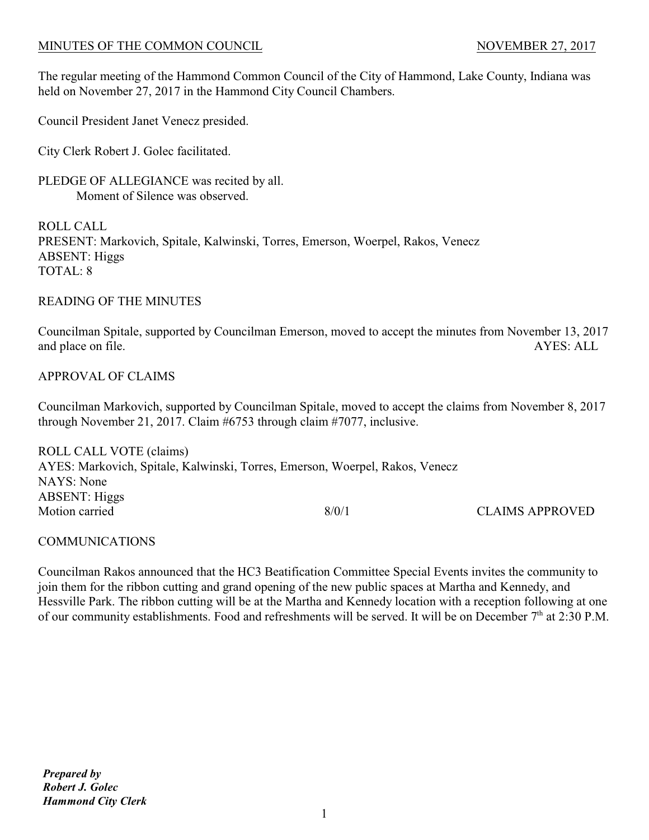The regular meeting of the Hammond Common Council of the City of Hammond, Lake County, Indiana was held on November 27, 2017 in the Hammond City Council Chambers.

Council President Janet Venecz presided.

City Clerk Robert J. Golec facilitated.

PLEDGE OF ALLEGIANCE was recited by all. Moment of Silence was observed.

ROLL CALL PRESENT: Markovich, Spitale, Kalwinski, Torres, Emerson, Woerpel, Rakos, Venecz ABSENT: Higgs TOTAL: 8

## READING OF THE MINUTES

Councilman Spitale, supported by Councilman Emerson, moved to accept the minutes from November 13, 2017 and place on file. AYES: ALL

# APPROVAL OF CLAIMS

Councilman Markovich, supported by Councilman Spitale, moved to accept the claims from November 8, 2017 through November 21, 2017. Claim #6753 through claim #7077, inclusive.

ROLL CALL VOTE (claims) AYES: Markovich, Spitale, Kalwinski, Torres, Emerson, Woerpel, Rakos, Venecz NAYS: None ABSENT: Higgs Motion carried and the state of the state of the state of the state of the state of the state of the state of the state of the state of the state of the state of the state of the state of the state of the state of the stat

# COMMUNICATIONS

Councilman Rakos announced that the HC3 Beatification Committee Special Events invites the community to join them for the ribbon cutting and grand opening of the new public spaces at Martha and Kennedy, and Hessville Park. The ribbon cutting will be at the Martha and Kennedy location with a reception following at one of our community establishments. Food and refreshments will be served. It will be on December  $7<sup>th</sup>$  at 2:30 P.M.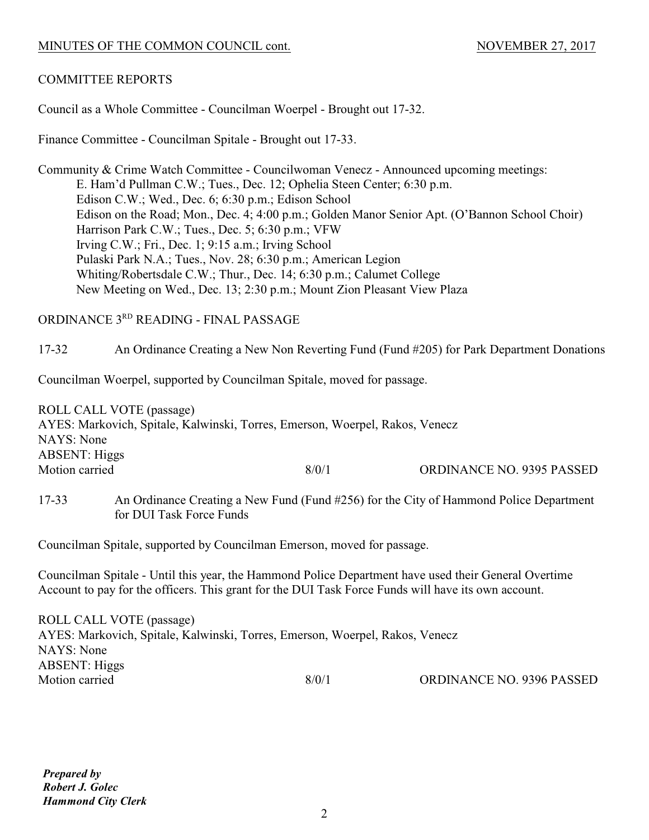## COMMITTEE REPORTS

Council as a Whole Committee - Councilman Woerpel - Brought out 17-32.

Finance Committee - Councilman Spitale - Brought out 17-33.

Community & Crime Watch Committee - Councilwoman Venecz - Announced upcoming meetings: E. Ham'd Pullman C.W.; Tues., Dec. 12; Ophelia Steen Center; 6:30 p.m. Edison C.W.; Wed., Dec. 6; 6:30 p.m.; Edison School Edison on the Road; Mon., Dec. 4; 4:00 p.m.; Golden Manor Senior Apt. (O'Bannon School Choir) Harrison Park C.W.; Tues., Dec. 5; 6:30 p.m.; VFW Irving C.W.; Fri., Dec. 1; 9:15 a.m.; Irving School Pulaski Park N.A.; Tues., Nov. 28; 6:30 p.m.; American Legion Whiting/Robertsdale C.W.; Thur., Dec. 14; 6:30 p.m.; Calumet College New Meeting on Wed., Dec. 13; 2:30 p.m.; Mount Zion Pleasant View Plaza

# ORDINANCE 3RD READING - FINAL PASSAGE

17-32 An Ordinance Creating a New Non Reverting Fund (Fund #205) for Park Department Donations

Councilman Woerpel, supported by Councilman Spitale, moved for passage.

ROLL CALL VOTE (passage) AYES: Markovich, Spitale, Kalwinski, Torres, Emerson, Woerpel, Rakos, Venecz NAYS: None ABSENT: Higgs Motion carried 8/0/1 ORDINANCE NO. 9395 PASSED

17-33 An Ordinance Creating a New Fund (Fund #256) for the City of Hammond Police Department for DUI Task Force Funds

Councilman Spitale, supported by Councilman Emerson, moved for passage.

Councilman Spitale - Until this year, the Hammond Police Department have used their General Overtime Account to pay for the officers. This grant for the DUI Task Force Funds will have its own account.

ROLL CALL VOTE (passage) AYES: Markovich, Spitale, Kalwinski, Torres, Emerson, Woerpel, Rakos, Venecz NAYS: None ABSENT: Higgs Motion carried 8/0/1 ORDINANCE NO. 9396 PASSED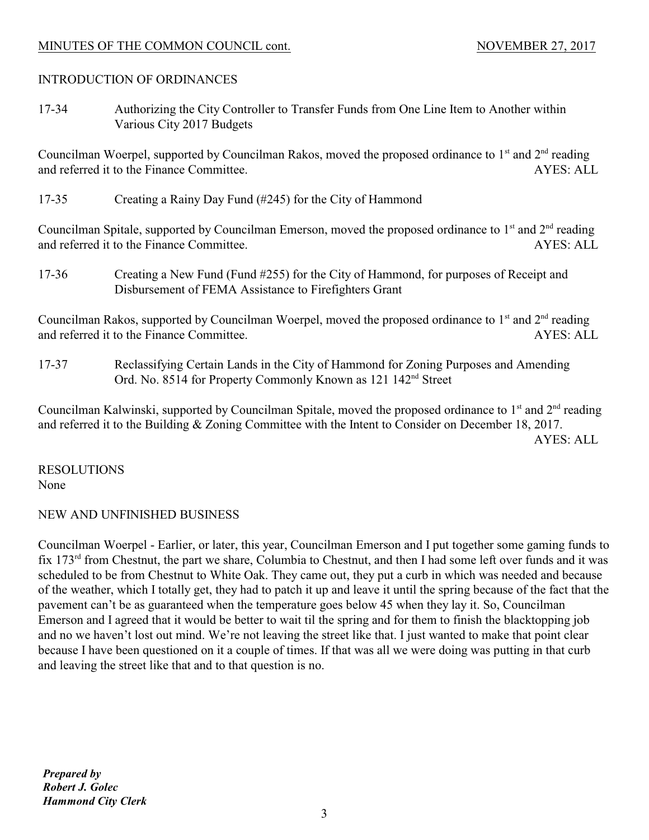## INTRODUCTION OF ORDINANCES

17-34 Authorizing the City Controller to Transfer Funds from One Line Item to Another within Various City 2017 Budgets

Councilman Woerpel, supported by Councilman Rakos, moved the proposed ordinance to  $1<sup>st</sup>$  and  $2<sup>nd</sup>$  reading and referred it to the Finance Committee. AYES: ALL

17-35 Creating a Rainy Day Fund (#245) for the City of Hammond

Councilman Spitale, supported by Councilman Emerson, moved the proposed ordinance to  $1<sup>st</sup>$  and  $2<sup>nd</sup>$  reading and referred it to the Finance Committee. AYES: ALL

17-36 Creating a New Fund (Fund #255) for the City of Hammond, for purposes of Receipt and Disbursement of FEMA Assistance to Firefighters Grant

Councilman Rakos, supported by Councilman Woerpel, moved the proposed ordinance to 1<sup>st</sup> and 2<sup>nd</sup> reading and referred it to the Finance Committee. AYES: ALL

17-37 Reclassifying Certain Lands in the City of Hammond for Zoning Purposes and Amending Ord. No. 8514 for Property Commonly Known as 121 142<sup>nd</sup> Street

Councilman Kalwinski, supported by Councilman Spitale, moved the proposed ordinance to  $1<sup>st</sup>$  and  $2<sup>nd</sup>$  reading and referred it to the Building & Zoning Committee with the Intent to Consider on December 18, 2017. AYES: ALL

RESOLUTIONS None

# NEW AND UNFINISHED BUSINESS

Councilman Woerpel - Earlier, or later, this year, Councilman Emerson and I put together some gaming funds to fix  $173<sup>rd</sup>$  from Chestnut, the part we share, Columbia to Chestnut, and then I had some left over funds and it was scheduled to be from Chestnut to White Oak. They came out, they put a curb in which was needed and because of the weather, which I totally get, they had to patch it up and leave it until the spring because of the fact that the pavement can't be as guaranteed when the temperature goes below 45 when they lay it. So, Councilman Emerson and I agreed that it would be better to wait til the spring and for them to finish the blacktopping job and no we haven't lost out mind. We're not leaving the street like that. I just wanted to make that point clear because I have been questioned on it a couple of times. If that was all we were doing was putting in that curb and leaving the street like that and to that question is no.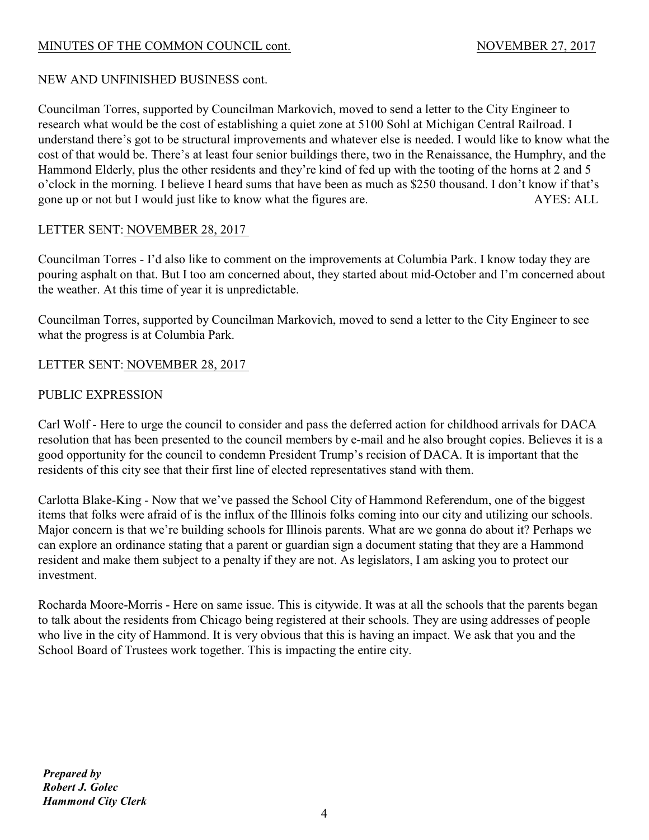# NEW AND UNFINISHED BUSINESS cont.

Councilman Torres, supported by Councilman Markovich, moved to send a letter to the City Engineer to research what would be the cost of establishing a quiet zone at 5100 Sohl at Michigan Central Railroad. I understand there's got to be structural improvements and whatever else is needed. I would like to know what the cost of that would be. There's at least four senior buildings there, two in the Renaissance, the Humphry, and the Hammond Elderly, plus the other residents and they're kind of fed up with the tooting of the horns at 2 and 5 o'clock in the morning. I believe I heard sums that have been as much as \$250 thousand. I don't know if that's gone up or not but I would just like to know what the figures are. AYES: ALL

# LETTER SENT: NOVEMBER 28, 2017

Councilman Torres - I'd also like to comment on the improvements at Columbia Park. I know today they are pouring asphalt on that. But I too am concerned about, they started about mid-October and I'm concerned about the weather. At this time of year it is unpredictable.

Councilman Torres, supported by Councilman Markovich, moved to send a letter to the City Engineer to see what the progress is at Columbia Park.

LETTER SENT: NOVEMBER 28, 2017

# PUBLIC EXPRESSION

Carl Wolf - Here to urge the council to consider and pass the deferred action for childhood arrivals for DACA resolution that has been presented to the council members by e-mail and he also brought copies. Believes it is a good opportunity for the council to condemn President Trump's recision of DACA. It is important that the residents of this city see that their first line of elected representatives stand with them.

Carlotta Blake-King - Now that we've passed the School City of Hammond Referendum, one of the biggest items that folks were afraid of is the influx of the Illinois folks coming into our city and utilizing our schools. Major concern is that we're building schools for Illinois parents. What are we gonna do about it? Perhaps we can explore an ordinance stating that a parent or guardian sign a document stating that they are a Hammond resident and make them subject to a penalty if they are not. As legislators, I am asking you to protect our investment.

Rocharda Moore-Morris - Here on same issue. This is citywide. It was at all the schools that the parents began to talk about the residents from Chicago being registered at their schools. They are using addresses of people who live in the city of Hammond. It is very obvious that this is having an impact. We ask that you and the School Board of Trustees work together. This is impacting the entire city.

*Prepared by Robert J. Golec Hammond City Clerk*